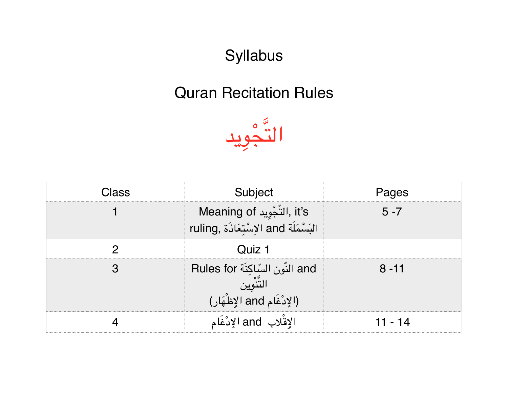Syllabus

## Quran Recitation Rules



| 29 S | Subject                                                             | <sup>J</sup> aqes |  |  |
|------|---------------------------------------------------------------------|-------------------|--|--|
|      | lt's, التجْوِيد Meaning of<br>ruling, السُنْمَلَة and الاسْتَعَاذَة | $5 - 7$           |  |  |
|      | 1 לתור                                                              |                   |  |  |
|      | and النّون السّاكِنة Rules for                                      | $8 - 11$          |  |  |
|      |                                                                     | -14               |  |  |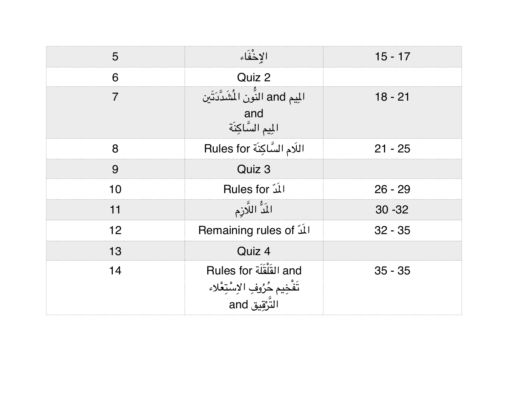| 5  | الإخْفَاء                                                                      | $15 - 17$ |  |  |
|----|--------------------------------------------------------------------------------|-----------|--|--|
| 6  | Quiz 2                                                                         |           |  |  |
| 7  | المِيم and النَّون المُثَدَّدَتَين<br>and<br>المِيم السَّاكِنَة                | $18 - 21$ |  |  |
| 8  | اللَام السَّاكِنَة Rules for                                                   | $21 - 25$ |  |  |
| 9  | Quiz 3                                                                         |           |  |  |
| 10 | <b>Rules for آللّ</b>                                                          | $26 - 29$ |  |  |
| 11 | المَدُّ اللَّازِم                                                              | $30 - 32$ |  |  |
| 12 | <b>Remaining rules of لَلْد</b> ّ                                              | $32 - 35$ |  |  |
| 13 | Quiz 4                                                                         |           |  |  |
| 14 | and القُلْقَلَة Rules for<br>تَفْخِيم حُرُوفِ الاِسْتِعْلاء<br>التَّرْقِيق and | $35 - 35$ |  |  |